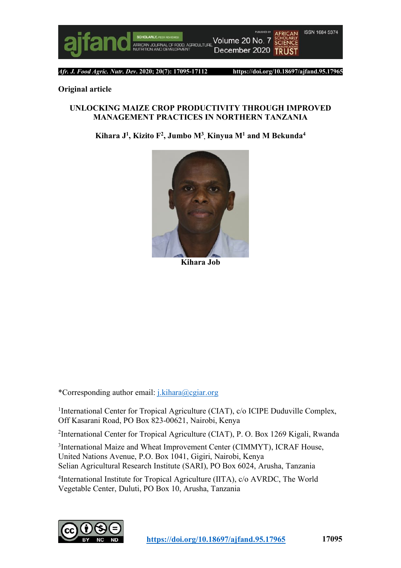

*Afr. J. Food Agric. Nutr. Dev***. 2020; 20(7): 17095-17112 https://doi.org/10.18697/ajfand.95.17965**

#### **Original article**

#### **UNLOCKING MAIZE CROP PRODUCTIVITY THROUGH IMPROVED MANAGEMENT PRACTICES IN NORTHERN TANZANIA**

**Kihara J1 , Kizito F2, Jumbo M3 , Kinyua M1 and M Bekunda4**



**Kihara Job**

\*Corresponding author email: j.kihara@cgiar.org

1International Center for Tropical Agriculture (CIAT), c/o ICIPE Duduville Complex, Off Kasarani Road, PO Box 823-00621, Nairobi, Kenya

2 International Center for Tropical Agriculture (CIAT), P. O. Box 1269 Kigali, Rwanda

3 International Maize and Wheat Improvement Center (CIMMYT), ICRAF House, United Nations Avenue, P.O. Box 1041, Gigiri, Nairobi, Kenya Selian Agricultural Research Institute (SARI), PO Box 6024, Arusha, Tanzania

4 International Institute for Tropical Agriculture (IITA), c/o AVRDC, The World Vegetable Center, Duluti, PO Box 10, Arusha, Tanzania

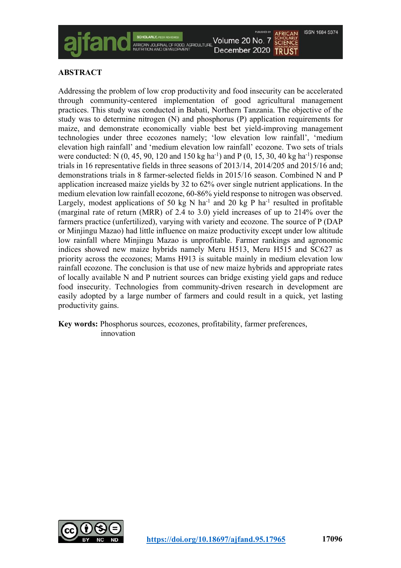

# **ABSTRACT**

Addressing the problem of low crop productivity and food insecurity can be accelerated through community-centered implementation of good agricultural management practices. This study was conducted in Babati, Northern Tanzania. The objective of the study was to determine nitrogen (N) and phosphorus (P) application requirements for maize, and demonstrate economically viable best bet yield-improving management technologies under three ecozones namely; 'low elevation low rainfall', 'medium elevation high rainfall' and 'medium elevation low rainfall' ecozone. Two sets of trials were conducted: N  $(0, 45, 90, 120, 150 \text{ kg} \text{ ha}^{-1})$  and P  $(0, 15, 30, 40 \text{ kg} \text{ ha}^{-1})$  response trials in 16 representative fields in three seasons of 2013/14, 2014/205 and 2015/16 and; demonstrations trials in 8 farmer-selected fields in 2015/16 season. Combined N and P application increased maize yields by 32 to 62% over single nutrient applications. In the medium elevation low rainfall ecozone, 60-86% yield response to nitrogen was observed. Largely, modest applications of 50 kg N ha<sup>-1</sup> and 20 kg P ha<sup>-1</sup> resulted in profitable (marginal rate of return (MRR) of 2.4 to 3.0) yield increases of up to 214% over the farmers practice (unfertilized), varying with variety and ecozone. The source of P (DAP or Minjingu Mazao) had little influence on maize productivity except under low altitude low rainfall where Minjingu Mazao is unprofitable. Farmer rankings and agronomic indices showed new maize hybrids namely Meru H513, Meru H515 and SC627 as priority across the ecozones; Mams H913 is suitable mainly in medium elevation low rainfall ecozone. The conclusion is that use of new maize hybrids and appropriate rates of locally available N and P nutrient sources can bridge existing yield gaps and reduce food insecurity. Technologies from community-driven research in development are easily adopted by a large number of farmers and could result in a quick, yet lasting productivity gains.

**Key words:** Phosphorus sources, ecozones, profitability, farmer preferences, innovation

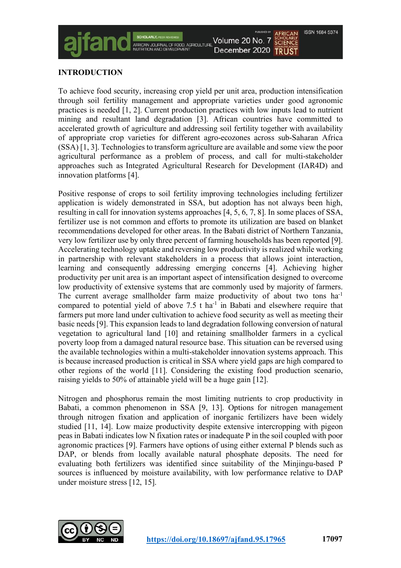# **INTRODUCTION**

To achieve food security, increasing crop yield per unit area, production intensification through soil fertility management and appropriate varieties under good agronomic practices is needed [1, 2]. Current production practices with low inputs lead to nutrient mining and resultant land degradation [3]. African countries have committed to accelerated growth of agriculture and addressing soil fertility together with availability of appropriate crop varieties for different agro-ecozones across sub-Saharan Africa (SSA) [1, 3]. Technologies to transform agriculture are available and some view the poor agricultural performance as a problem of process, and call for multi-stakeholder approaches such as Integrated Agricultural Research for Development (IAR4D) and innovation platforms [4].

ACRICLE THRE

Volume 20 No. 7

December 2020 TRUST

**ISSN 1684 5374** 

**SCHOLARLY**<br>**SCIENCE** 

Positive response of crops to soil fertility improving technologies including fertilizer application is widely demonstrated in SSA, but adoption has not always been high, resulting in call for innovation systems approaches [4, 5, 6, 7, 8]. In some places of SSA, fertilizer use is not common and efforts to promote its utilization are based on blanket recommendations developed for other areas. In the Babati district of Northern Tanzania, very low fertilizer use by only three percent of farming households has been reported [9]. Accelerating technology uptake and reversing low productivity is realized while working in partnership with relevant stakeholders in a process that allows joint interaction, learning and consequently addressing emerging concerns [4]. Achieving higher productivity per unit area is an important aspect of intensification designed to overcome low productivity of extensive systems that are commonly used by majority of farmers. The current average smallholder farm maize productivity of about two tons ha<sup>-1</sup> compared to potential yield of above  $7.5$  t ha<sup>-1</sup> in Babati and elsewhere require that farmers put more land under cultivation to achieve food security as well as meeting their basic needs [9]. This expansion leads to land degradation following conversion of natural vegetation to agricultural land [10] and retaining smallholder farmers in a cyclical poverty loop from a damaged natural resource base. This situation can be reversed using the available technologies within a multi-stakeholder innovation systems approach. This is because increased production is critical in SSA where yield gaps are high compared to other regions of the world [11]. Considering the existing food production scenario, raising yields to 50% of attainable yield will be a huge gain [12].

Nitrogen and phosphorus remain the most limiting nutrients to crop productivity in Babati, a common phenomenon in SSA [9, 13]. Options for nitrogen management through nitrogen fixation and application of inorganic fertilizers have been widely studied [11, 14]. Low maize productivity despite extensive intercropping with pigeon peas in Babati indicates low N fixation rates or inadequate P in the soil coupled with poor agronomic practices [9]. Farmers have options of using either external P blends such as DAP, or blends from locally available natural phosphate deposits. The need for evaluating both fertilizers was identified since suitability of the Minjingu-based P sources is influenced by moisture availability, with low performance relative to DAP under moisture stress [12, 15].

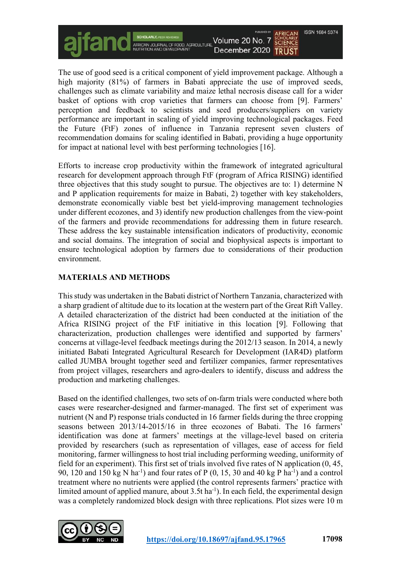**ISSN 1684 5374** Volume 20 No. 7 **SCHOLARLY**<br>**SCIENCE** FOOD ACRICULTURE December 2020 TRUST

The use of good seed is a critical component of yield improvement package. Although a high majority (81%) of farmers in Babati appreciate the use of improved seeds, challenges such as climate variability and maize lethal necrosis disease call for a wider basket of options with crop varieties that farmers can choose from [9]. Farmers' perception and feedback to scientists and seed producers/suppliers on variety performance are important in scaling of yield improving technological packages. Feed the Future (FtF) zones of influence in Tanzania represent seven clusters of recommendation domains for scaling identified in Babati, providing a huge opportunity for impact at national level with best performing technologies [16].

Efforts to increase crop productivity within the framework of integrated agricultural research for development approach through FtF (program of Africa RISING) identified three objectives that this study sought to pursue. The objectives are to: 1) determine N and P application requirements for maize in Babati, 2) together with key stakeholders, demonstrate economically viable best bet yield-improving management technologies under different ecozones, and 3) identify new production challenges from the view-point of the farmers and provide recommendations for addressing them in future research. These address the key sustainable intensification indicators of productivity, economic and social domains. The integration of social and biophysical aspects is important to ensure technological adoption by farmers due to considerations of their production environment.

# **MATERIALS AND METHODS**

This study was undertaken in the Babati district of Northern Tanzania, characterized with a sharp gradient of altitude due to its location at the western part of the Great Rift Valley. A detailed characterization of the district had been conducted at the initiation of the Africa RISING project of the FtF initiative in this location [9]. Following that characterization, production challenges were identified and supported by farmers' concerns at village-level feedback meetings during the 2012/13 season. In 2014, a newly initiated Babati Integrated Agricultural Research for Development (IAR4D) platform called JUMBA brought together seed and fertilizer companies, farmer representatives from project villages, researchers and agro-dealers to identify, discuss and address the production and marketing challenges.

Based on the identified challenges, two sets of on-farm trials were conducted where both cases were researcher-designed and farmer-managed. The first set of experiment was nutrient (N and P) response trials conducted in 16 farmer fields during the three cropping seasons between 2013/14-2015/16 in three ecozones of Babati. The 16 farmers' identification was done at farmers' meetings at the village-level based on criteria provided by researchers (such as representation of villages, ease of access for field monitoring, farmer willingness to host trial including performing weeding, uniformity of field for an experiment). This first set of trials involved five rates of N application (0, 45, 90, 120 and 150 kg N ha<sup>-1</sup>) and four rates of P  $(0, 15, 30$  and 40 kg P ha<sup>-1</sup>) and a control treatment where no nutrients were applied (the control represents farmers' practice with limited amount of applied manure, about  $3.5t$  ha<sup>-1</sup>). In each field, the experimental design was a completely randomized block design with three replications. Plot sizes were 10 m

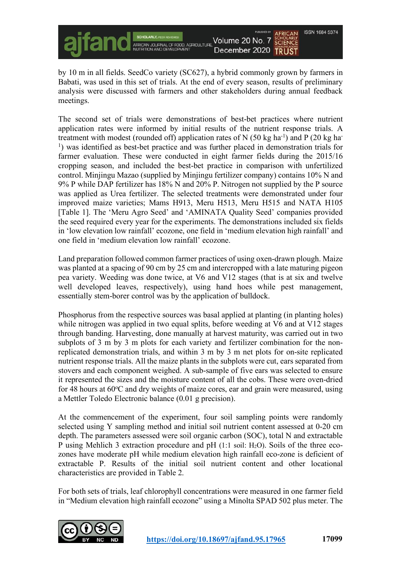

by 10 m in all fields. SeedCo variety (SC627), a hybrid commonly grown by farmers in Babati, was used in this set of trials. At the end of every season, results of preliminary analysis were discussed with farmers and other stakeholders during annual feedback meetings.

The second set of trials were demonstrations of best-bet practices where nutrient application rates were informed by initial results of the nutrient response trials. A treatment with modest (rounded off) application rates of N  $(50 \text{ kg ha}^{-1})$  and P  $(20 \text{ kg ha}^{-1})$ <sup>1</sup>) was identified as best-bet practice and was further placed in demonstration trials for farmer evaluation. These were conducted in eight farmer fields during the 2015/16 cropping season, and included the best-bet practice in comparison with unfertilized control. Minjingu Mazao (supplied by Minjingu fertilizer company) contains 10% N and 9% P while DAP fertilizer has 18% N and 20% P. Nitrogen not supplied by the P source was applied as Urea fertilizer. The selected treatments were demonstrated under four improved maize varieties; Mams H913, Meru H513, Meru H515 and NATA H105 [Table 1]. The 'Meru Agro Seed' and 'AMINATA Quality Seed' companies provided the seed required every year for the experiments. The demonstrations included six fields in 'low elevation low rainfall' ecozone, one field in 'medium elevation high rainfall' and one field in 'medium elevation low rainfall' ecozone.

Land preparation followed common farmer practices of using oxen-drawn plough. Maize was planted at a spacing of 90 cm by 25 cm and intercropped with a late maturing pigeon pea variety. Weeding was done twice, at V6 and V12 stages (that is at six and twelve well developed leaves, respectively), using hand hoes while pest management, essentially stem-borer control was by the application of bulldock.

Phosphorus from the respective sources was basal applied at planting (in planting holes) while nitrogen was applied in two equal splits, before weeding at V6 and at V12 stages through banding. Harvesting, done manually at harvest maturity, was carried out in two subplots of 3 m by 3 m plots for each variety and fertilizer combination for the nonreplicated demonstration trials, and within 3 m by 3 m net plots for on-site replicated nutrient response trials. All the maize plants in the subplots were cut, ears separated from stovers and each component weighed. A sub-sample of five ears was selected to ensure it represented the sizes and the moisture content of all the cobs. These were oven-dried for 48 hours at 60°C and dry weights of maize cores, ear and grain were measured, using a Mettler Toledo Electronic balance (0.01 g precision).

At the commencement of the experiment, four soil sampling points were randomly selected using Y sampling method and initial soil nutrient content assessed at 0-20 cm depth. The parameters assessed were soil organic carbon (SOC), total N and extractable P using Mehlich 3 extraction procedure and pH (1:1 soil: H2O). Soils of the three ecozones have moderate pH while medium elevation high rainfall eco-zone is deficient of extractable P. Results of the initial soil nutrient content and other locational characteristics are provided in Table 2.

For both sets of trials, leaf chlorophyll concentrations were measured in one farmer field in "Medium elevation high rainfall ecozone" using a Minolta SPAD 502 plus meter. The

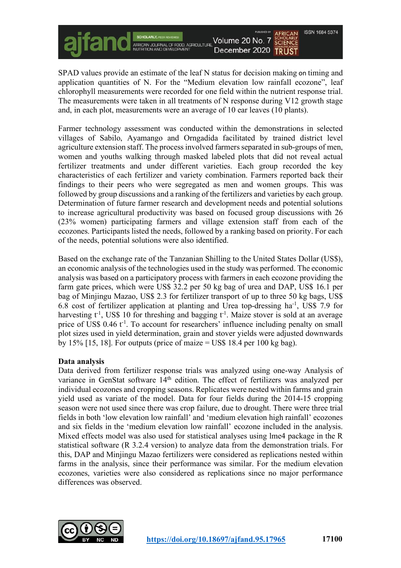$\overline{F}$ 

Volume 20 No. 7 **SCHOLARLY**<br>**SCIENCE** December 2020 TRUST

**ISSN 1684 5374** 

SPAD values provide an estimate of the leaf N status for decision making on timing and application quantities of N. For the "Medium elevation low rainfall ecozone", leaf chlorophyll measurements were recorded for one field within the nutrient response trial. The measurements were taken in all treatments of N response during V12 growth stage and, in each plot, measurements were an average of 10 ear leaves (10 plants).

Farmer technology assessment was conducted within the demonstrations in selected villages of Sabilo, Ayamango and Orngadida facilitated by trained district level agriculture extension staff. The process involved farmers separated in sub-groups of men. women and youths walking through masked labeled plots that did not reveal actual fertilizer treatments and under different varieties. Each group recorded the key characteristics of each fertilizer and variety combination. Farmers reported back their findings to their peers who were segregated as men and women groups. This was followed by group discussions and a ranking of the fertilizers and varieties by each group. Determination of future farmer research and development needs and potential solutions to increase agricultural productivity was based on focused group discussions with 26 (23% women) participating farmers and village extension staff from each of the ecozones. Participants listed the needs, followed by a ranking based on priority. For each of the needs, potential solutions were also identified.

Based on the exchange rate of the Tanzanian Shilling to the United States Dollar (US\$), an economic analysis of the technologies used in the study was performed. The economic analysis was based on a participatory process with farmers in each ecozone providing the farm gate prices, which were US\$ 32.2 per 50 kg bag of urea and DAP, US\$ 16.1 per bag of Minjingu Mazao, US\$ 2.3 for fertilizer transport of up to three 50 kg bags, US\$ 6.8 cost of fertilizer application at planting and Urea top-dressing ha-1, US\$ 7.9 for harvesting t<sup>-1</sup>, US\$ 10 for threshing and bagging t<sup>-1</sup>. Maize stover is sold at an average price of US\$ 0.46 t<sup>-1</sup>. To account for researchers' influence including penalty on small plot sizes used in yield determination, grain and stover yields were adjusted downwards by 15% [15, 18]. For outputs (price of maize  $=$  US\$ 18.4 per 100 kg bag).

### **Data analysis**

Data derived from fertilizer response trials was analyzed using one-way Analysis of variance in GenStat software 14<sup>th</sup> edition. The effect of fertilizers was analyzed per individual ecozones and cropping seasons. Replicates were nested within farms and grain yield used as variate of the model. Data for four fields during the 2014-15 cropping season were not used since there was crop failure, due to drought. There were three trial fields in both 'low elevation low rainfall' and 'medium elevation high rainfall' ecozones and six fields in the 'medium elevation low rainfall' ecozone included in the analysis. Mixed effects model was also used for statistical analyses using lme4 package in the R statistical software (R 3.2.4 version) to analyze data from the demonstration trials. For this, DAP and Minjingu Mazao fertilizers were considered as replications nested within farms in the analysis, since their performance was similar. For the medium elevation ecozones, varieties were also considered as replications since no major performance differences was observed.

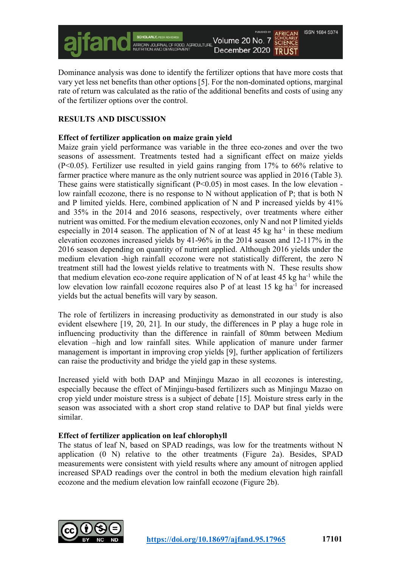

Dominance analysis was done to identify the fertilizer options that have more costs that vary yet less net benefits than other options [5]. For the non-dominated options, marginal rate of return was calculated as the ratio of the additional benefits and costs of using any of the fertilizer options over the control.

# **RESULTS AND DISCUSSION**

## **Effect of fertilizer application on maize grain yield**

Maize grain yield performance was variable in the three eco-zones and over the two seasons of assessment. Treatments tested had a significant effect on maize yields (P<0.05). Fertilizer use resulted in yield gains ranging from 17% to 66% relative to farmer practice where manure as the only nutrient source was applied in 2016 (Table 3). These gains were statistically significant  $(P<0.05)$  in most cases. In the low elevation low rainfall ecozone, there is no response to N without application of P; that is both N and P limited yields. Here, combined application of N and P increased yields by 41% and 35% in the 2014 and 2016 seasons, respectively, over treatments where either nutrient was omitted. For the medium elevation ecozones, only N and not P limited yields especially in 2014 season. The application of N of at least  $45 \text{ kg}$  ha<sup>-1</sup> in these medium elevation ecozones increased yields by 41-96% in the 2014 season and 12-117% in the 2016 season depending on quantity of nutrient applied. Although 2016 yields under the medium elevation -high rainfall ecozone were not statistically different, the zero N treatment still had the lowest yields relative to treatments with N. These results show that medium elevation eco-zone require application of N of at least  $45 \text{ kg}$  ha<sup>-1</sup> while the low elevation low rainfall ecozone requires also P of at least 15 kg ha<sup>-1</sup> for increased yields but the actual benefits will vary by season.

The role of fertilizers in increasing productivity as demonstrated in our study is also evident elsewhere [19, 20, 21]. In our study, the differences in P play a huge role in influencing productivity than the difference in rainfall of 80mm between Medium elevation –high and low rainfall sites. While application of manure under farmer management is important in improving crop yields [9], further application of fertilizers can raise the productivity and bridge the yield gap in these systems.

Increased yield with both DAP and Minjingu Mazao in all ecozones is interesting, especially because the effect of Minjingu-based fertilizers such as Minjingu Mazao on crop yield under moisture stress is a subject of debate [15]. Moisture stress early in the season was associated with a short crop stand relative to DAP but final yields were similar.

### **Effect of fertilizer application on leaf chlorophyll**

The status of leaf N, based on SPAD readings, was low for the treatments without N application (0 N) relative to the other treatments (Figure 2a). Besides, SPAD measurements were consistent with yield results where any amount of nitrogen applied increased SPAD readings over the control in both the medium elevation high rainfall ecozone and the medium elevation low rainfall ecozone (Figure 2b).

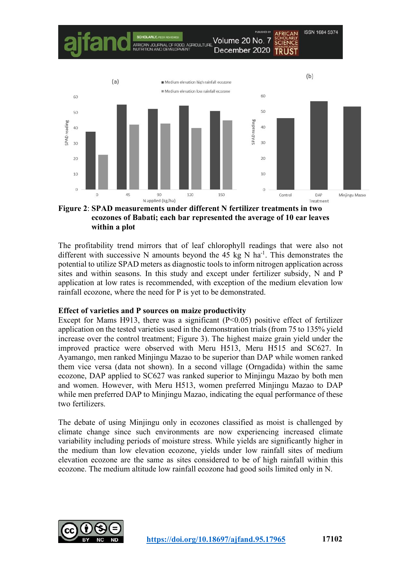

#### **Figure 2**: **SPAD measurements under different N fertilizer treatments in two ecozones of Babati; each bar represented the average of 10 ear leaves within a plot**

The profitability trend mirrors that of leaf chlorophyll readings that were also not different with successive N amounts beyond the 45 kg N ha<sup>-1</sup>. This demonstrates the potential to utilize SPAD meters as diagnostic tools to inform nitrogen application across sites and within seasons. In this study and except under fertilizer subsidy, N and P application at low rates is recommended, with exception of the medium elevation low rainfall ecozone, where the need for P is yet to be demonstrated.

### **Effect of varieties and P sources on maize productivity**

Except for Mams H913, there was a significant  $(P<0.05)$  positive effect of fertilizer application on the tested varieties used in the demonstration trials(from 75 to 135% yield increase over the control treatment; Figure 3). The highest maize grain yield under the improved practice were observed with Meru H513, Meru H515 and SC627. In Ayamango, men ranked Minjingu Mazao to be superior than DAP while women ranked them vice versa (data not shown). In a second village (Orngadida) within the same ecozone, DAP applied to SC627 was ranked superior to Minjingu Mazao by both men and women. However, with Meru H513, women preferred Minjingu Mazao to DAP while men preferred DAP to Minjingu Mazao, indicating the equal performance of these two fertilizers.

The debate of using Minjingu only in ecozones classified as moist is challenged by climate change since such environments are now experiencing increased climate variability including periods of moisture stress. While yields are significantly higher in the medium than low elevation ecozone, yields under low rainfall sites of medium elevation ecozone are the same as sites considered to be of high rainfall within this ecozone. The medium altitude low rainfall ecozone had good soils limited only in N.

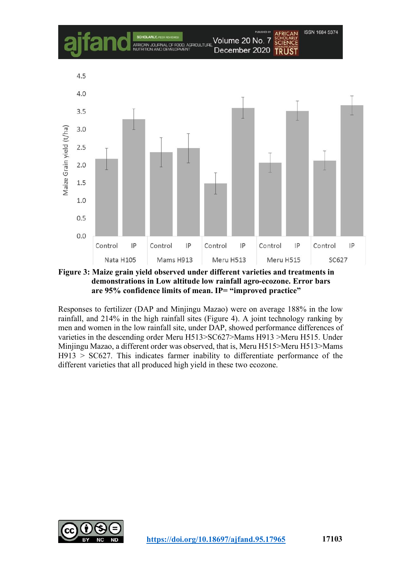

**Figure 3: Maize grain yield observed under different varieties and treatments in demonstrations in Low altitude low rainfall agro-ecozone. Error bars are 95% confidence limits of mean. IP= "improved practice"**

Responses to fertilizer (DAP and Minjingu Mazao) were on average 188% in the low rainfall, and 214% in the high rainfall sites (Figure 4). A joint technology ranking by men and women in the low rainfall site, under DAP, showed performance differences of varieties in the descending order Meru H513>SC627>Mams H913 >Meru H515. Under Minjingu Mazao, a different order was observed, that is, Meru H515>Meru H513>Mams H913 > SC627. This indicates farmer inability to differentiate performance of the different varieties that all produced high yield in these two ecozone.

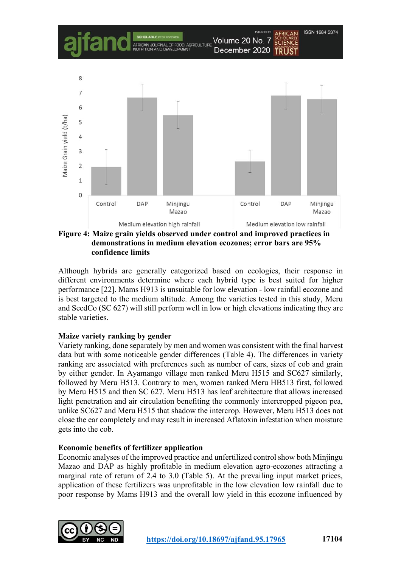

**Figure 4: Maize grain yields observed under control and improved practices in demonstrations in medium elevation ecozones; error bars are 95% confidence limits**

Although hybrids are generally categorized based on ecologies, their response in different environments determine where each hybrid type is best suited for higher performance [22]. Mams H913 is unsuitable for low elevation - low rainfall ecozone and is best targeted to the medium altitude. Among the varieties tested in this study, Meru and SeedCo (SC 627) will still perform well in low or high elevations indicating they are stable varieties.

### **Maize variety ranking by gender**

Variety ranking, done separately by men and women was consistent with the final harvest data but with some noticeable gender differences (Table 4). The differences in variety ranking are associated with preferences such as number of ears, sizes of cob and grain by either gender. In Ayamango village men ranked Meru H515 and SC627 similarly, followed by Meru H513. Contrary to men, women ranked Meru HB513 first, followed by Meru H515 and then SC 627. Meru H513 has leaf architecture that allows increased light penetration and air circulation benefiting the commonly intercropped pigeon pea, unlike SC627 and Meru H515 that shadow the intercrop. However, Meru H513 does not close the ear completely and may result in increased Aflatoxin infestation when moisture gets into the cob.

### **Economic benefits of fertilizer application**

Economic analyses of the improved practice and unfertilized control show both Minjingu Mazao and DAP as highly profitable in medium elevation agro-ecozones attracting a marginal rate of return of 2.4 to 3.0 (Table 5). At the prevailing input market prices, application of these fertilizers was unprofitable in the low elevation low rainfall due to poor response by Mams H913 and the overall low yield in this ecozone influenced by

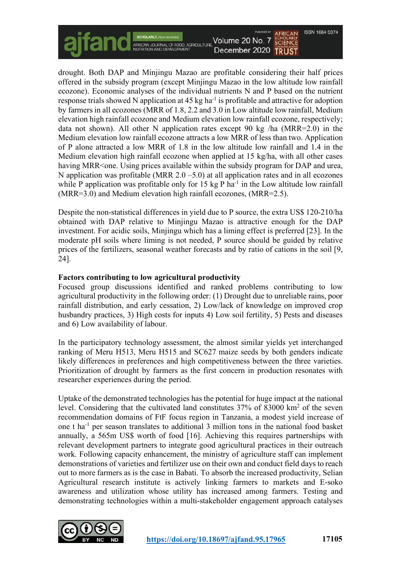

drought. Both DAP and Minjingu Mazao are profitable considering their half prices offered in the subsidy program (except Minjingu Mazao in the low altitude low rainfall ecozone). Economic analyses of the individual nutrients N and P based on the nutrient response trials showed N application at 45 kg ha<sup>-1</sup> is profitable and attractive for adoption by farmers in all ecozones (MRR of 1.8, 2.2 and 3.0 in Low altitude low rainfall, Medium elevation high rainfall ecozone and Medium elevation low rainfall ecozone, respectively; data not shown). All other N application rates except 90 kg /ha (MRR=2.0) in the Medium elevation low rainfall ecozone attracts a low MRR of less than two. Application of P alone attracted a low MRR of 1.8 in the low altitude low rainfall and 1.4 in the Medium elevation high rainfall ecozone when applied at 15 kg/ha, with all other cases having MRR<one. Using prices available within the subsidy program for DAP and urea, N application was profitable (MRR  $2.0 - 5.0$ ) at all application rates and in all ecozones while P application was profitable only for 15 kg P ha<sup>-1</sup> in the Low altitude low rainfall (MRR=3.0) and Medium elevation high rainfall ecozones, (MRR=2.5).

Despite the non-statistical differences in yield due to P source, the extra US\$ 120-210/ha obtained with DAP relative to Minjingu Mazao is attractive enough for the DAP investment. For acidic soils, Minjingu which has a liming effect is preferred [23]. In the moderate pH soils where liming is not needed, P source should be guided by relative prices of the fertilizers, seasonal weather forecasts and by ratio of cations in the soil [9, 24].

## **Factors contributing to low agricultural productivity**

Focused group discussions identified and ranked problems contributing to low agricultural productivity in the following order: (1) Drought due to unreliable rains, poor rainfall distribution, and early cessation, 2) Low/lack of knowledge on improved crop husbandry practices, 3) High costs for inputs 4) Low soil fertility, 5) Pests and diseases and 6) Low availability of labour.

In the participatory technology assessment, the almost similar yields yet interchanged ranking of Meru H513, Meru H515 and SC627 maize seeds by both genders indicate likely differences in preferences and high competitiveness between the three varieties. Prioritization of drought by farmers as the first concern in production resonates with researcher experiences during the period.

Uptake of the demonstrated technologies has the potential for huge impact at the national level. Considering that the cultivated land constitutes 37% of 83000 km2 of the seven recommendation domains of FtF focus region in Tanzania, a modest yield increase of one t ha<sup>-1</sup> per season translates to additional 3 million tons in the national food basket annually, a 565m US\$ worth of food [16]. Achieving this requires partnerships with relevant development partners to integrate good agricultural practices in their outreach work. Following capacity enhancement, the ministry of agriculture staff can implement demonstrations of varieties and fertilizer use on their own and conduct field days to reach out to more farmers as is the case in Babati. To absorb the increased productivity, Selian Agricultural research institute is actively linking farmers to markets and E-soko awareness and utilization whose utility has increased among farmers. Testing and demonstrating technologies within a multi-stakeholder engagement approach catalyses

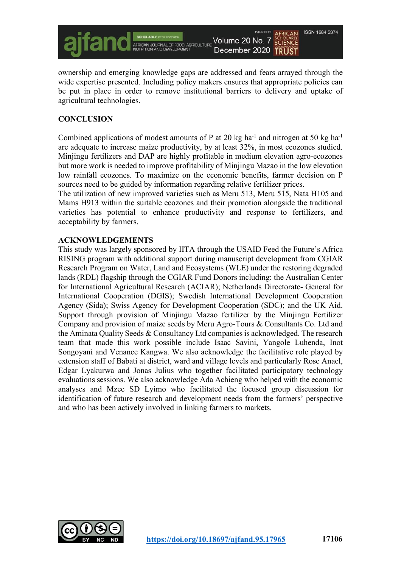

ownership and emerging knowledge gaps are addressed and fears arrayed through the wide expertise presented. Including policy makers ensures that appropriate policies can be put in place in order to remove institutional barriers to delivery and uptake of agricultural technologies.

# **CONCLUSION**

Combined applications of modest amounts of P at 20 kg ha<sup>-1</sup> and nitrogen at 50 kg ha<sup>-1</sup> are adequate to increase maize productivity, by at least 32%, in most ecozones studied. Minjingu fertilizers and DAP are highly profitable in medium elevation agro-ecozones but more work is needed to improve profitability of Minjingu Mazao in the low elevation low rainfall ecozones. To maximize on the economic benefits, farmer decision on P sources need to be guided by information regarding relative fertilizer prices.

The utilization of new improved varieties such as Meru 513, Meru 515, Nata H105 and Mams H913 within the suitable ecozones and their promotion alongside the traditional varieties has potential to enhance productivity and response to fertilizers, and acceptability by farmers.

#### **ACKNOWLEDGEMENTS**

This study was largely sponsored by IITA through the USAID Feed the Future's Africa RISING program with additional support during manuscript development from CGIAR Research Program on Water, Land and Ecosystems (WLE) under the restoring degraded lands (RDL) flagship through the CGIAR Fund Donors including: the Australian Center for International Agricultural Research (ACIAR); Netherlands Directorate- General for International Cooperation (DGIS); Swedish International Development Cooperation Agency (Sida); Swiss Agency for Development Cooperation (SDC); and the UK Aid. Support through provision of Minjingu Mazao fertilizer by the Minjingu Fertilizer Company and provision of maize seeds by Meru Agro-Tours & Consultants Co. Ltd and the Aminata Quality Seeds & Consultancy Ltd companies is acknowledged. The research team that made this work possible include Isaac Savini, Yangole Luhenda, Inot Songoyani and Venance Kangwa. We also acknowledge the facilitative role played by extension staff of Babati at district, ward and village levels and particularly Rose Anael, Edgar Lyakurwa and Jonas Julius who together facilitated participatory technology evaluations sessions. We also acknowledge Ada Achieng who helped with the economic analyses and Mzee SD Lyimo who facilitated the focused group discussion for identification of future research and development needs from the farmers' perspective and who has been actively involved in linking farmers to markets.

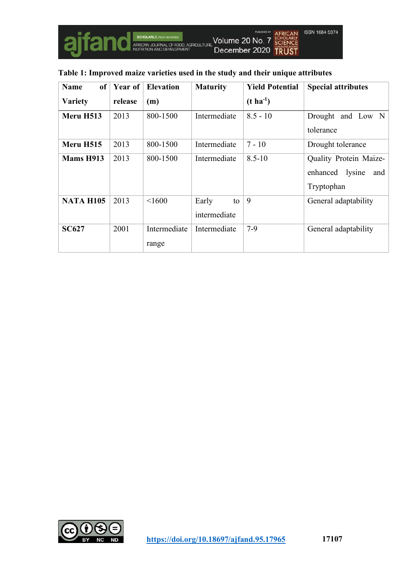

| <b>Name</b><br>of | Year of | <b>Elevation</b>      | <b>Maturity</b>             | <b>Yield Potential</b> | <b>Special attributes</b>                                         |
|-------------------|---------|-----------------------|-----------------------------|------------------------|-------------------------------------------------------------------|
| <b>Variety</b>    | release | (m)                   |                             | $(t \, ha^{-1})$       |                                                                   |
| Meru H513         | 2013    | 800-1500              | Intermediate                | $8.5 - 10$             | Drought and Low N<br>tolerance                                    |
| Meru H515         | 2013    | 800-1500              | Intermediate                | $7 - 10$               | Drought tolerance                                                 |
| <b>Mams H913</b>  | 2013    | 800-1500              | Intermediate                | $8.5 - 10$             | Quality Protein Maize-<br>lysine<br>enhanced<br>and<br>Tryptophan |
| <b>NATA H105</b>  | 2013    | < 1600                | Early<br>to<br>intermediate | 9                      | General adaptability                                              |
| <b>SC627</b>      | 2001    | Intermediate<br>range | Intermediate                | $7-9$                  | General adaptability                                              |

# **Table 1: Improved maize varieties used in the study and their unique attributes**

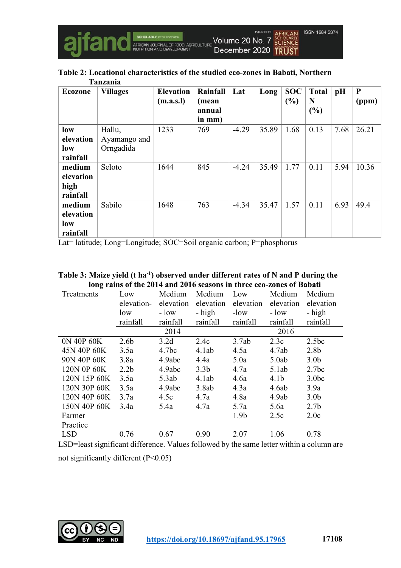

**Table 2: Locational characteristics of the studied eco-zones in Babati, Northern Tanzania**

| Ecozone   | <b>Villages</b> | <b>Elevation</b> | Rainfall | Lat     | Long  | <b>SOC</b> | <b>Total</b> | pH   | ${\bf P}$ |
|-----------|-----------------|------------------|----------|---------|-------|------------|--------------|------|-----------|
|           |                 | (m.a.s.l)        | (mean    |         |       | (%)        | N            |      | (ppm)     |
|           |                 |                  | annual   |         |       |            | (%)          |      |           |
|           |                 |                  | in mm)   |         |       |            |              |      |           |
| low       | Hallu,          | 1233             | 769      | $-4.29$ | 35.89 | 1.68       | 0.13         | 7.68 | 26.21     |
| elevation | Ayamango and    |                  |          |         |       |            |              |      |           |
| low       | Orngadida       |                  |          |         |       |            |              |      |           |
| rainfall  |                 |                  |          |         |       |            |              |      |           |
| medium    | Seloto          | 1644             | 845      | $-4.24$ | 35.49 | 1.77       | 0.11         | 5.94 | 10.36     |
| elevation |                 |                  |          |         |       |            |              |      |           |
| high      |                 |                  |          |         |       |            |              |      |           |
| rainfall  |                 |                  |          |         |       |            |              |      |           |
| medium    | Sabilo          | 1648             | 763      | $-4.34$ | 35.47 | 1.57       | 0.11         | 6.93 | 49.4      |
| elevation |                 |                  |          |         |       |            |              |      |           |
| low       |                 |                  |          |         |       |            |              |      |           |
| rainfall  |                 |                  |          |         |       |            |              |      |           |

Lat= latitude; Long=Longitude; SOC=Soil organic carbon; P=phosphorus

| Table 3: Maize yield (t ha <sup>-1</sup> ) observed under different rates of N and P during the |
|-------------------------------------------------------------------------------------------------|
| long rains of the 2014 and 2016 seasons in three eco-zones of Babati                            |

| o<br>Treatments | Low              | Medium            | Medium           | Low              | Medium           | Medium            |
|-----------------|------------------|-------------------|------------------|------------------|------------------|-------------------|
|                 | elevation-       | elevation         | elevation        | elevation        | elevation        | elevation         |
|                 | low              | $-$ low           | - high           | $-low$           | $-$ low          | - high            |
|                 | rainfall         | rainfall          | rainfall         | rainfall         | rainfall         | rainfall          |
|                 |                  | 2014              |                  |                  | 2016             |                   |
| 0N 40P 60K      | 2.6 <sub>b</sub> | 3.2d              | 2.4c             | 3.7ab            | 2.3c             | 2.5bc             |
| 45N 40P 60K     | 3.5a             | 4.7 <sub>bc</sub> | 4.1ab            | 4.5a             | 4.7ab            | 2.8 <sub>b</sub>  |
| 90N 40P 60K     | 3.8a             | 4.9abc            | 4.4a             | 5.0a             | 5.0ab            | 3.0 <sub>b</sub>  |
| 120N 0P 60K     | 2.2 <sub>b</sub> | 4.9abc            | 3.3 <sub>b</sub> | 4.7a             | 5.1ab            | 2.7bc             |
| 120N 15P 60K    | 3.5a             | 5.3ab             | 4.1ab            | 4.6a             | 4.1 <sub>b</sub> | 3.0 <sub>bc</sub> |
| 120N 30P 60K    | 3.5a             | 4.9abc            | 3.8ab            | 4.3a             | 4.6ab            | 3.9a              |
| 120N 40P 60K    | 3.7a             | 4.5c              | 4.7a             | 4.8a             | 4.9ab            | 3.0 <sub>b</sub>  |
| 150N 40P 60K    | 3.4a             | 5.4a              | 4.7a             | 5.7a             | 5.6a             | 2.7 <sub>b</sub>  |
| Farmer          |                  |                   |                  | 1.9 <sub>b</sub> | 2.5c             | 2.0c              |
| Practice        |                  |                   |                  |                  |                  |                   |
| <b>LSD</b>      | 0.76             | 0.67              | 0.90             | 2.07             | 1.06             | 0.78              |

LSD=least significant difference. Values followed by the same letter within a column are not significantly different (P<0.05)

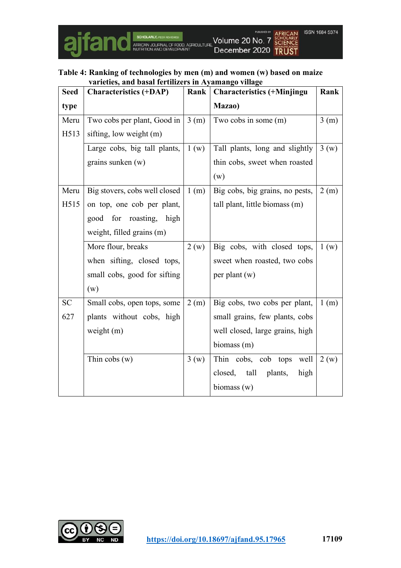

#### **Table 4: Ranking of technologies by men (m) and women (w) based on maize varieties, and basal fertilizers in Ayamango village**

| <b>Seed</b> | <b>Characteristics (+DAP)</b> | Rank | <b>Characteristics (+Minjingu</b> | Rank |
|-------------|-------------------------------|------|-----------------------------------|------|
| type        |                               |      | Mazao)                            |      |
| Meru        | Two cobs per plant, Good in   | 3(m) | Two cobs in some (m)              | 3(m) |
| H513        | sifting, low weight (m)       |      |                                   |      |
|             | Large cobs, big tall plants,  | 1(w) | Tall plants, long and slightly    | 3(w) |
|             | grains sunken $(w)$           |      | thin cobs, sweet when roasted     |      |
|             |                               |      | (w)                               |      |
| Meru        | Big stovers, cobs well closed | 1(m) | Big cobs, big grains, no pests,   | 2(m) |
| H515        | on top, one cob per plant,    |      | tall plant, little biomass (m)    |      |
|             | good for roasting, high       |      |                                   |      |
|             | weight, filled grains (m)     |      |                                   |      |
|             | More flour, breaks            | 2(w) | Big cobs, with closed tops,       | 1(w) |
|             | when sifting, closed tops,    |      | sweet when roasted, two cobs      |      |
|             | small cobs, good for sifting  |      | per plant $(w)$                   |      |
|             | (w)                           |      |                                   |      |
| <b>SC</b>   | Small cobs, open tops, some   | 2(m) | Big cobs, two cobs per plant,     | 1(m) |
| 627         | plants without cobs, high     |      | small grains, few plants, cobs    |      |
|             | weight $(m)$                  |      | well closed, large grains, high   |      |
|             |                               |      | biomass (m)                       |      |
|             | Thin $cobs(w)$                | 3(w) | Thin cobs, cob tops<br>well       | 2(w) |
|             |                               |      | closed, tall<br>plants,<br>high   |      |
|             |                               |      | biomass (w)                       |      |

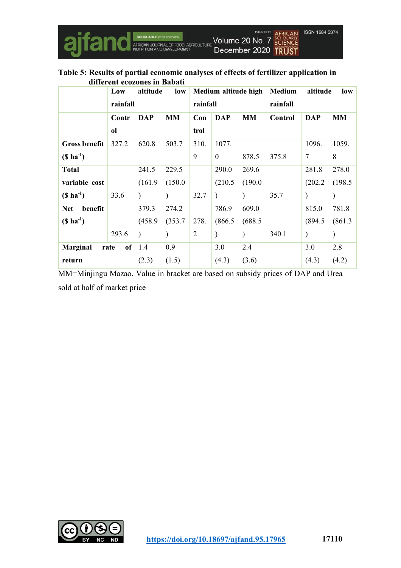

#### **Table 5: Results of partial economic analyses of effects of fertilizer application in different ecozones in Babati**

|                               | altitude<br>Low<br>low |               | Medium altitude high |                |            | <b>Medium</b><br>altitude |          | low           |           |
|-------------------------------|------------------------|---------------|----------------------|----------------|------------|---------------------------|----------|---------------|-----------|
|                               | rainfall               |               |                      | rainfall       |            |                           | rainfall |               |           |
|                               | Contr                  | <b>DAP</b>    | <b>MM</b>            | Con            | <b>DAP</b> | <b>MM</b>                 | Control  | <b>DAP</b>    | <b>MM</b> |
|                               | <sub>ol</sub>          |               |                      | trol           |            |                           |          |               |           |
| <b>Gross benefit</b>          | 327.2                  | 620.8         | 503.7                | 310.           | 1077.      |                           |          | 1096.         | 1059.     |
| $($ ha-1)$                    |                        |               |                      | 9              | $\Omega$   | 878.5                     | 375.8    | $\tau$        | 8         |
| <b>Total</b>                  |                        | 241.5         | 229.5                |                | 290.0      | 269.6                     |          | 281.8         | 278.0     |
| variable cost                 |                        | (161.9)       | (150.0)              |                | (210.5)    | (190.0)                   |          | (202.2)       | (198.5)   |
| $($ ha^{-1}$)$                | 33.6                   | $\mathcal{E}$ |                      | 32.7           |            |                           | 35.7     | $\mathcal{E}$ |           |
| benefit<br><b>Net</b>         |                        | 379.3         | 274.2                |                | 786.9      | 609.0                     |          | 815.0         | 781.8     |
| $($ ha-1)$                    |                        | (458.9)       | (353.7)              | 278.           | (866.5)    | (688.5                    |          | (894.5)       | (861.3)   |
|                               | 293.6                  | $\mathcal{E}$ |                      | $\overline{2}$ |            |                           | 340.1    | $\mathcal{E}$ |           |
| of<br><b>Marginal</b><br>rate |                        | 1.4           | 0.9                  |                | 3.0        | 2.4                       |          | 3.0           | 2.8       |
| return                        |                        | (2.3)         | (1.5)                |                | (4.3)      | (3.6)                     |          | (4.3)         | (4.2)     |

MM=Minjingu Mazao. Value in bracket are based on subsidy prices of DAP and Urea sold at half of market price

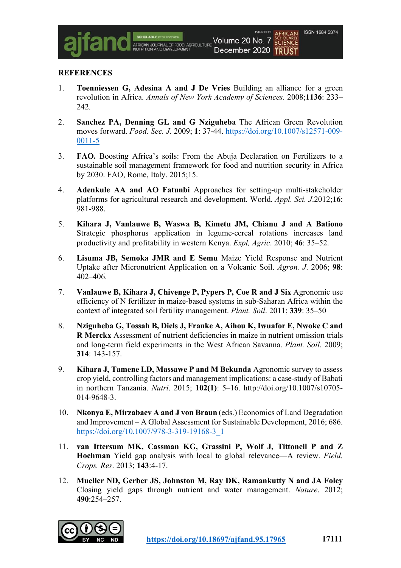#### **REFERENCES**

1. **Toenniessen G, Adesina A and J De Vries** Building an alliance for a green revolution in Africa. *Annals of New York Academy of Sciences*. 2008;**1136**: 233– 242.

AERICAN IN IRNAL O

- 2. **Sanchez PA, Denning GL and G Nziguheba** The African Green Revolution moves forward. *Food. Sec. J*. 2009; **1**: 37-44. https://doi.org/10.1007/s12571-009- 0011-5
- 3. **FAO.** Boosting Africa's soils: From the Abuja Declaration on Fertilizers to a sustainable soil management framework for food and nutrition security in Africa by 2030. FAO, Rome, Italy. 2015;15.
- 4. **Adenkule AA and AO Fatunbi** Approaches for setting-up multi-stakeholder platforms for agricultural research and development. World. *Appl. Sci. J*.2012;**16**: 981-988.
- 5. **Kihara J, Vanlauwe B, Waswa B, Kimetu JM, Chianu J and A Bationo** Strategic phosphorus application in legume-cereal rotations increases land productivity and profitability in western Kenya. *Expl, Agric*. 2010; **46**: 35–52.
- 6. **Lisuma JB, Semoka JMR and E Semu** Maize Yield Response and Nutrient Uptake after Micronutrient Application on a Volcanic Soil. *Agron. J*. 2006; **98**: 402–406.
- 7. **Vanlauwe B, Kihara J, Chivenge P, Pypers P, Coe R and J Six** Agronomic use efficiency of N fertilizer in maize-based systems in sub-Saharan Africa within the context of integrated soil fertility management. *Plant. Soil*. 2011; **339**: 35–50
- 8. **Nziguheba G, Tossah B, Diels J, Franke A, Aihou K, Iwuafor E, Nwoke C and R Merckx** Assessment of nutrient deficiencies in maize in nutrient omission trials and long-term field experiments in the West African Savanna. *Plant. Soil*. 2009; **314**: 143-157.
- 9. **Kihara J, Tamene LD, Massawe P and M Bekunda** Agronomic survey to assess crop yield, controlling factors and management implications: a case-study of Babati in northern Tanzania. *Nutri*. 2015; **102(1)**: 5–16. http://doi.org/10.1007/s10705- 014-9648-3.
- 10. **Nkonya E, Mirzabaev A and J von Braun** (eds.) Economics of Land Degradation and Improvement – A Global Assessment for Sustainable Development, 2016; 686. https://doi.org/10.1007/978-3-319-19168-3\_1
- 11. **van Ittersum MK, Cassman KG, Grassini P, Wolf J, Tittonell P and Z Hochman** Yield gap analysis with local to global relevance—A review. *Field. Crops. Res*. 2013; **143**:4-17.
- 12. **Mueller ND, Gerber JS, Johnston M, Ray DK, Ramankutty N and JA Foley** Closing yield gaps through nutrient and water management. *Nature*. 2012; **490**:254–257.